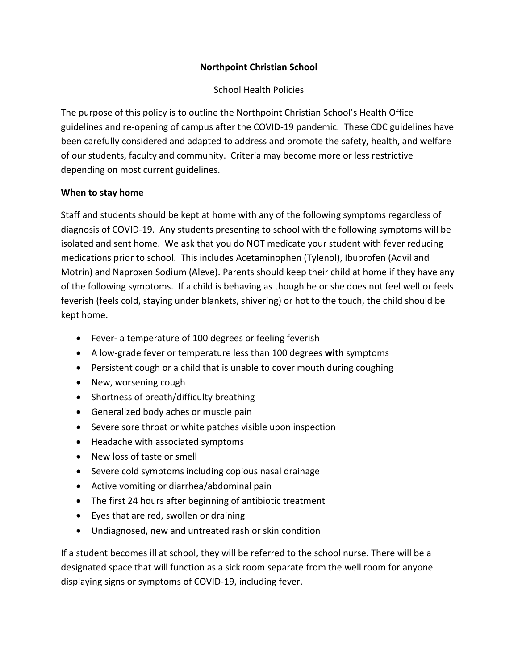## **Northpoint Christian School**

## School Health Policies

The purpose of this policy is to outline the Northpoint Christian School's Health Office guidelines and re-opening of campus after the COVID-19 pandemic. These CDC guidelines have been carefully considered and adapted to address and promote the safety, health, and welfare of our students, faculty and community. Criteria may become more or less restrictive depending on most current guidelines.

## **When to stay home**

Staff and students should be kept at home with any of the following symptoms regardless of diagnosis of COVID-19. Any students presenting to school with the following symptoms will be isolated and sent home. We ask that you do NOT medicate your student with fever reducing medications prior to school. This includes Acetaminophen (Tylenol), Ibuprofen (Advil and Motrin) and Naproxen Sodium (Aleve). Parents should keep their child at home if they have any of the following symptoms. If a child is behaving as though he or she does not feel well or feels feverish (feels cold, staying under blankets, shivering) or hot to the touch, the child should be kept home.

- Fever- a temperature of 100 degrees or feeling feverish
- A low-grade fever or temperature less than 100 degrees **with** symptoms
- Persistent cough or a child that is unable to cover mouth during coughing
- New, worsening cough
- Shortness of breath/difficulty breathing
- Generalized body aches or muscle pain
- Severe sore throat or white patches visible upon inspection
- Headache with associated symptoms
- New loss of taste or smell
- Severe cold symptoms including copious nasal drainage
- Active vomiting or diarrhea/abdominal pain
- The first 24 hours after beginning of antibiotic treatment
- Eyes that are red, swollen or draining
- Undiagnosed, new and untreated rash or skin condition

If a student becomes ill at school, they will be referred to the school nurse. There will be a designated space that will function as a sick room separate from the well room for anyone displaying signs or symptoms of COVID-19, including fever.